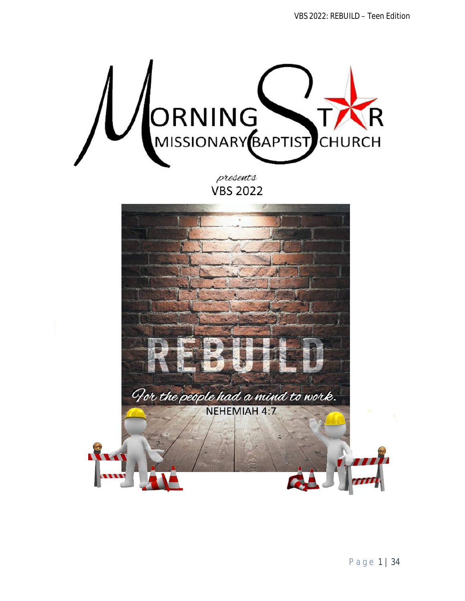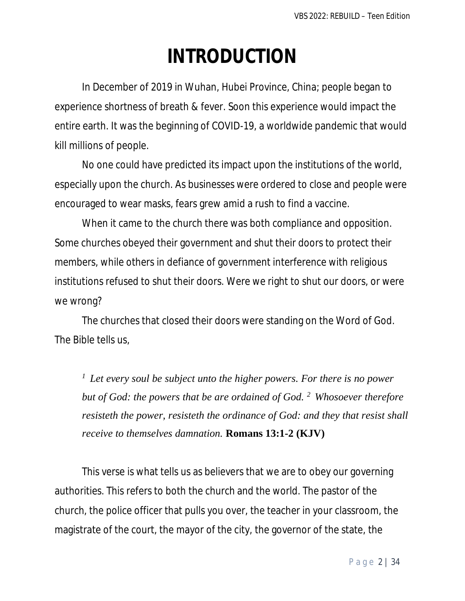# **INTRODUCTION**

In December of 2019 in Wuhan, Hubei Province, China; people began to experience shortness of breath & fever. Soon this experience would impact the entire earth. It was the beginning of COVID-19, a worldwide pandemic that would kill millions of people.

No one could have predicted its impact upon the institutions of the world, especially upon the church. As businesses were ordered to close and people were encouraged to wear masks, fears grew amid a rush to find a vaccine.

When it came to the church there was both compliance and opposition. Some churches obeyed their government and shut their doors to protect their members, while others in defiance of government interference with religious institutions refused to shut their doors. Were we right to shut our doors, or were we wrong?

The churches that closed their doors were standing on the Word of God. The Bible tells us,

*<sup>1</sup>Let every soul be subject unto the higher powers. For there is no power but of God: the powers that be are ordained of God. <sup>2</sup>Whosoever therefore resisteth the power, resisteth the ordinance of God: and they that resist shall receive to themselves damnation.* **Romans 13:1-2 (KJV)** 

This verse is what tells us as believers that we are to obey our governing authorities. This refers to both the church and the world. The pastor of the church, the police officer that pulls you over, the teacher in your classroom, the magistrate of the court, the mayor of the city, the governor of the state, the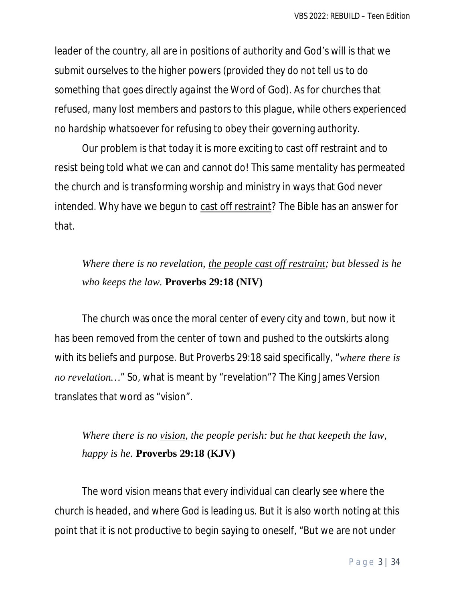leader of the country, all are in positions of authority and God's will is that we submit ourselves to the higher powers *(provided they do not tell us to do something that goes directly against the Word of God)*. As for churches that refused, many lost members and pastors to this plague, while others experienced no hardship whatsoever for refusing to obey their governing authority.

Our problem is that today it is more exciting to cast off restraint and to resist being told what we can and cannot do! This same mentality has permeated the church and is transforming worship and ministry in ways that God never intended. Why have we begun to cast off restraint? The Bible has an answer for that.

## *Where there is no revelation, the people cast off restraint; but blessed is he who keeps the law.* **Proverbs 29:18 (NIV)**

The church was once the moral center of every city and town, but now it has been removed from the center of town and pushed to the outskirts along with its beliefs and purpose. But Proverbs 29:18 said specifically, "*where there is no revelation…*" So, what is meant by "revelation"? The King James Version translates that word as "vision".

## *Where there is no vision, the people perish: but he that keepeth the law, happy is he.* **Proverbs 29:18 (KJV)**

The word vision means that every individual can clearly see where the church is headed, and where God is leading us. But it is also worth noting at this point that it is not productive to begin saying to oneself, "But we are not under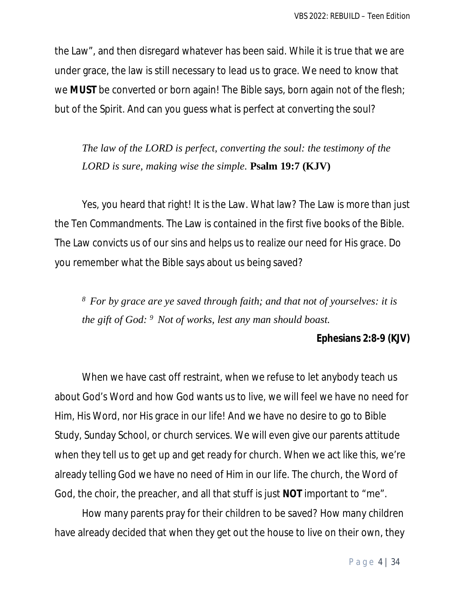the Law", and then disregard whatever has been said. While it is true that we are under grace, the law is still necessary to lead us to grace. We need to know that we **MUST** be converted or born again! The Bible says, born again not of the flesh; but of the Spirit. And can you guess what is perfect at converting the soul?

*The law of the LORD is perfect, converting the soul: the testimony of the LORD is sure, making wise the simple.* **Psalm 19:7 (KJV)** 

Yes, you heard that right! It is the Law. What law? The Law is more than just the Ten Commandments. The Law is contained in the first five books of the Bible. The Law convicts us of our sins and helps us to realize our need for His grace. Do you remember what the Bible says about us being saved?

*<sup>8</sup>For by grace are ye saved through faith; and that not of yourselves: it is the gift of God: <sup>9</sup>Not of works, lest any man should boast.*

#### **Ephesians 2:8-9 (KJV)**

When we have cast off restraint, when we refuse to let anybody teach us about God's Word and how God wants us to live, we will feel we have no need for Him, His Word, nor His grace in our life! And we have no desire to go to Bible Study, Sunday School, or church services. We will even give our parents attitude when they tell us to get up and get ready for church. When we act like this, we're already telling God we have no need of Him in our life. The church, the Word of God, the choir, the preacher, and all that stuff is just **NOT** important to "me".

How many parents pray for their children to be saved? How many children have already decided that when they get out the house to live on their own, they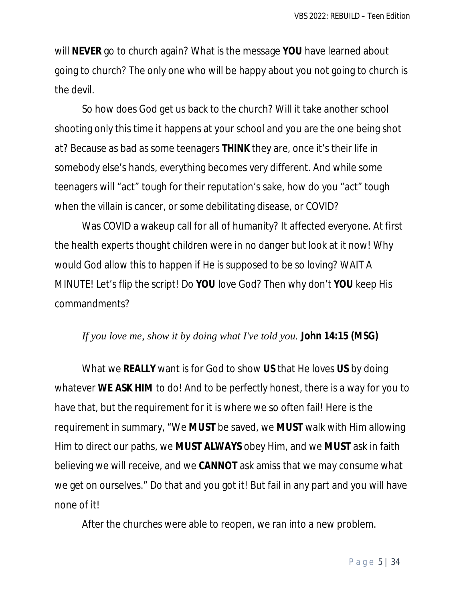will **NEVER** go to church again? What is the message **YOU** have learned about going to church? The only one who will be happy about you not going to church is the devil.

So how does God get us back to the church? Will it take another school shooting only this time it happens at your school and you are the one being shot at? Because as bad as some teenagers **THINK** they are, once it's their life in somebody else's hands, everything becomes very different. And while some teenagers will "act" tough for their reputation's sake, how do you "act" tough when the villain is cancer, or some debilitating disease, or COVID?

Was COVID a wakeup call for all of humanity? It affected everyone. At first the health experts thought children were in no danger but look at it now! Why would God allow this to happen if He is supposed to be so loving? WAIT A MINUTE! Let's flip the script! Do **YOU** love God? Then why don't **YOU** keep His commandments?

#### *If you love me, show it by doing what I've told you.* **John 14:15 (MSG)**

What we **REALLY** want is for God to show **US** that He loves **US** by doing whatever **WE ASK HIM** to do! And to be perfectly honest, there is a way for you to have that, but the requirement for it is where we so often fail! Here is the requirement in summary, "We **MUST** be saved, we **MUST** walk with Him allowing Him to direct our paths, we **MUST ALWAYS** obey Him, and we **MUST** ask in faith believing we will receive, and we **CANNOT** ask amiss that we may consume what we get on ourselves." Do that and you got it! But fail in any part and you will have none of it!

After the churches were able to reopen, we ran into a new problem.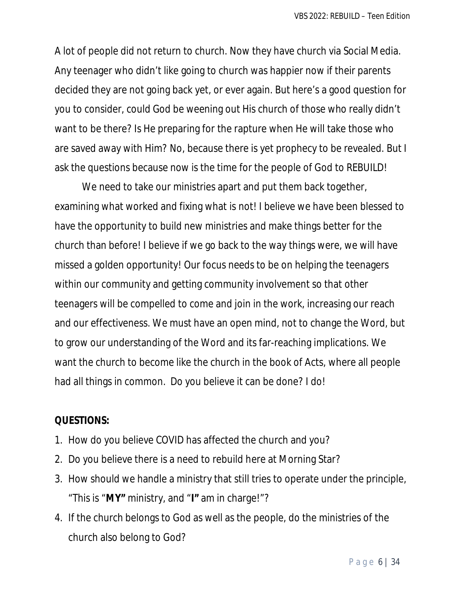A lot of people did not return to church. Now they have church via Social Media. Any teenager who didn't like going to church was happier now if their parents decided they are not going back yet, or ever again. But here's a good question for you to consider, could God be weening out His church of those who really didn't want to be there? Is He preparing for the rapture when He will take those who are saved away with Him? No, because there is yet prophecy to be revealed. But I ask the questions because now is the time for the people of God to REBUILD!

We need to take our ministries apart and put them back together, examining what worked and fixing what is not! I believe we have been blessed to have the opportunity to build new ministries and make things better for the church than before! I believe if we go back to the way things were, we will have missed a golden opportunity! Our focus needs to be on helping the teenagers within our community and getting community involvement so that other teenagers will be compelled to come and join in the work, increasing our reach and our effectiveness. We must have an open mind, not to change the Word, but to grow our understanding of the Word and its far-reaching implications. We want the church to become like the church in the book of Acts, where all people had all things in common. Do you believe it can be done? I do!

#### **QUESTIONS:**

- 1. How do you believe COVID has affected the church and you?
- 2. Do you believe there is a need to rebuild here at Morning Star?
- 3. How should we handle a ministry that still tries to operate under the principle, "This is "**MY"** ministry, and "**I"** am in charge!"?
- 4. If the church belongs to God as well as the people, do the ministries of the church also belong to God?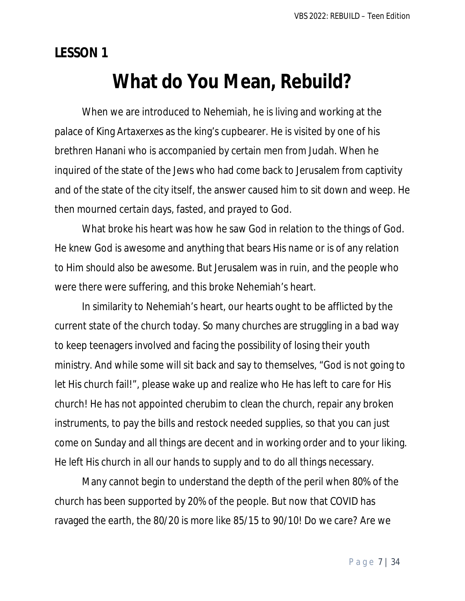**LESSON 1**

## **What do You Mean, Rebuild?**

When we are introduced to Nehemiah, he is living and working at the palace of King Artaxerxes as the king's cupbearer. He is visited by one of his brethren Hanani who is accompanied by certain men from Judah. When he inquired of the state of the Jews who had come back to Jerusalem from captivity and of the state of the city itself, the answer caused him to sit down and weep. He then mourned certain days, fasted, and prayed to God.

What broke his heart was how he saw God in relation to the things of God. He knew God is awesome and anything that bears His name or is of any relation to Him should also be awesome. But Jerusalem was in ruin, and the people who were there were suffering, and this broke Nehemiah's heart.

In similarity to Nehemiah's heart, our hearts ought to be afflicted by the current state of the church today. So many churches are struggling in a bad way to keep teenagers involved and facing the possibility of losing their youth ministry. And while some will sit back and say to themselves, "God is not going to let His church fail!", please wake up and realize who He has left to care for His church! He has not appointed cherubim to clean the church, repair any broken instruments, to pay the bills and restock needed supplies, so that you can just come on Sunday and all things are decent and in working order and to your liking. He left His church in all our hands to supply and to do all things necessary.

Many cannot begin to understand the depth of the peril when 80% of the church has been supported by 20% of the people. But now that COVID has ravaged the earth, the 80/20 is more like 85/15 to 90/10! Do we care? Are we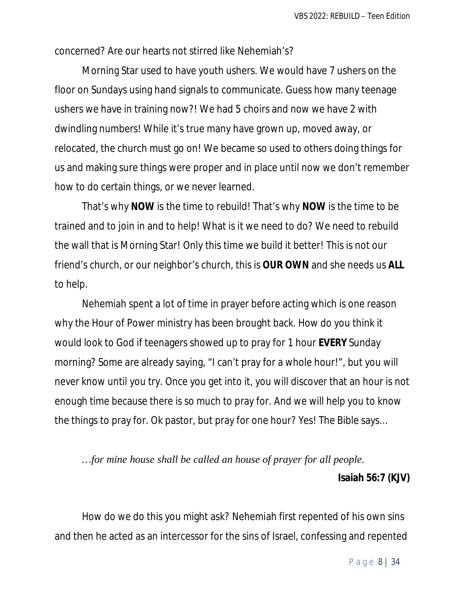concerned? Are our hearts not stirred like Nehemiah's?

Morning Star used to have youth ushers. We would have 7 ushers on the floor on Sundays using hand signals to communicate. Guess how many teenage ushers we have in training now?! We had 5 choirs and now we have 2 with dwindling numbers! While it's true many have grown up, moved away, or relocated, the church must go on! We became so used to others doing things for us and making sure things were proper and in place until now we don't remember how to do certain things, or we never learned.

That's why **NOW** is the time to rebuild! That's why **NOW** is the time to be trained and to join in and to help! What is it we need to do? We need to rebuild the wall that is Morning Star! Only this time we build it better! This is not our friend's church, or our neighbor's church, this is **OUR OWN** and she needs us **ALL** to help.

Nehemiah spent a lot of time in prayer before acting which is one reason why the Hour of Power ministry has been brought back. How do you think it would look to God if teenagers showed up to pray for 1 hour **EVERY** Sunday morning? Some are already saying, "I can't pray for a whole hour!", but you will never know until you try. Once you get into it, you will discover that an hour is not enough time because there is so much to pray for. And we will help you to know the things to pray for. Ok pastor, but pray for one hour? Yes! The Bible says…

*…for mine house shall be called an house of prayer for all people.* **Isaiah 56:7 (KJV)**

How do we do this you might ask? Nehemiah first repented of his own sins and then he acted as an intercessor for the sins of Israel, confessing and repented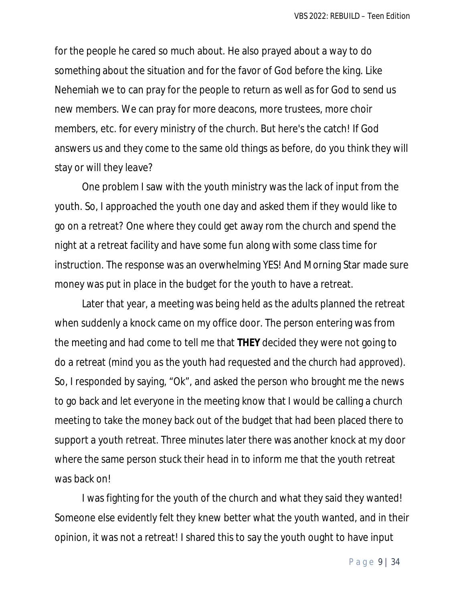for the people he cared so much about. He also prayed about a way to do something about the situation and for the favor of God before the king. Like Nehemiah we to can pray for the people to return as well as for God to send us new members. We can pray for more deacons, more trustees, more choir members, etc. for every ministry of the church. But here's the catch! If God answers us and they come to the same old things as before, do you think they will stay or will they leave?

One problem I saw with the youth ministry was the lack of input from the youth. So, I approached the youth one day and asked them if they would like to go on a retreat? One where they could get away rom the church and spend the night at a retreat facility and have some fun along with some class time for instruction. The response was an overwhelming YES! And Morning Star made sure money was put in place in the budget for the youth to have a retreat.

Later that year, a meeting was being held as the adults planned the retreat when suddenly a knock came on my office door. The person entering was from the meeting and had come to tell me that **THEY** decided they were not going to do a retreat (*mind you as the youth had requested and the church had approved*). So, I responded by saying, "Ok", and asked the person who brought me the news to go back and let everyone in the meeting know that I would be calling a church meeting to take the money back out of the budget that had been placed there to support a youth retreat. Three minutes later there was another knock at my door where the same person stuck their head in to inform me that the youth retreat was back on!

I was fighting for the youth of the church and what they said they wanted! Someone else evidently felt they knew better what the youth wanted, and in their opinion, it was not a retreat! I shared this to say the youth ought to have input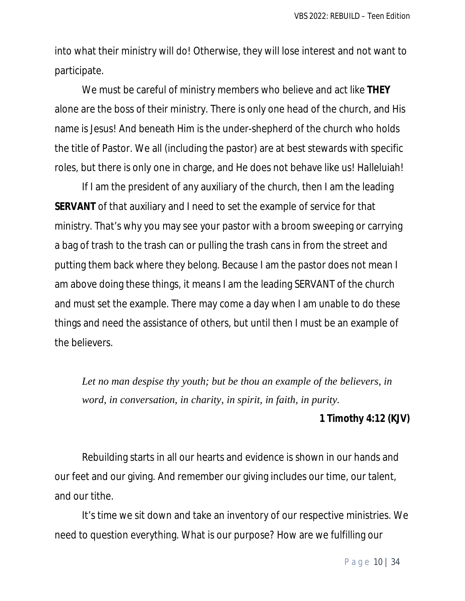into what their ministry will do! Otherwise, they will lose interest and not want to participate.

We must be careful of ministry members who believe and act like **THEY** alone are the boss of their ministry. There is only one head of the church, and His name is Jesus! And beneath Him is the under-shepherd of the church who holds the title of Pastor. We all (including the pastor) are at best stewards with specific roles, but there is only one in charge, and He does not behave like us! Halleluiah!

If I am the president of any auxiliary of the church, then I am the leading **SERVANT** of that auxiliary and I need to set the example of service for that ministry. That's why you may see your pastor with a broom sweeping or carrying a bag of trash to the trash can or pulling the trash cans in from the street and putting them back where they belong. Because I am the pastor does not mean I am above doing these things, it means I am the leading SERVANT of the church and must set the example. There may come a day when I am unable to do these things and need the assistance of others, but until then I must be an example of the believers.

*Let no man despise thy youth; but be thou an example of the believers, in word, in conversation, in charity, in spirit, in faith, in purity.*

#### **1 Timothy 4:12 (KJV)**

Rebuilding starts in all our hearts and evidence is shown in our hands and our feet and our giving. And remember our giving includes our time, our talent, and our tithe.

It's time we sit down and take an inventory of our respective ministries. We need to question everything. What is our purpose? How are we fulfilling our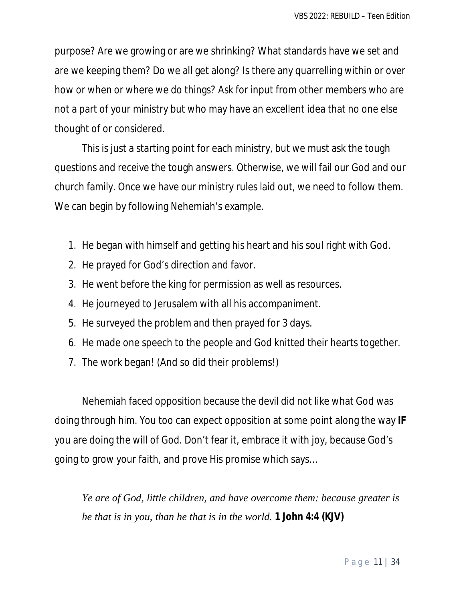purpose? Are we growing or are we shrinking? What standards have we set and are we keeping them? Do we all get along? Is there any quarrelling within or over how or when or where we do things? Ask for input from other members who are not a part of your ministry but who may have an excellent idea that no one else thought of or considered.

This is just a starting point for each ministry, but we must ask the tough questions and receive the tough answers. Otherwise, we will fail our God and our church family. Once we have our ministry rules laid out, we need to follow them. We can begin by following Nehemiah's example.

- 1. He began with himself and getting his heart and his soul right with God.
- 2. He prayed for God's direction and favor.
- 3. He went before the king for permission as well as resources.
- 4. He journeyed to Jerusalem with all his accompaniment.
- 5. He surveyed the problem and then prayed for 3 days.
- 6. He made one speech to the people and God knitted their hearts together.
- 7. The work began! (And so did their problems!)

Nehemiah faced opposition because the devil did not like what God was doing through him. You too can expect opposition at some point along the way **IF** you are doing the will of God. Don't fear it, embrace it with joy, because God's going to grow your faith, and prove His promise which says…

*Ye are of God, little children, and have overcome them: because greater is he that is in you, than he that is in the world.* **1 John 4:4 (KJV)**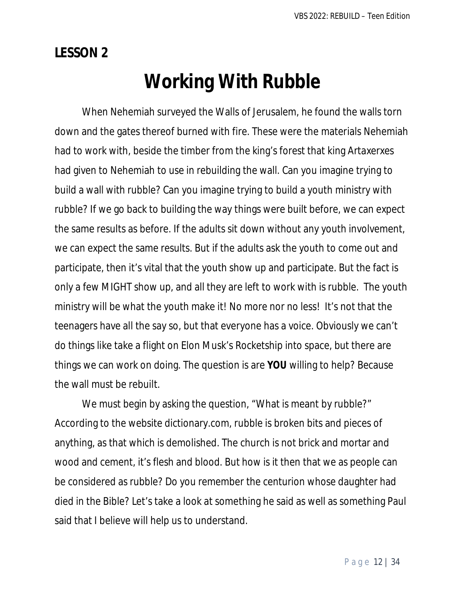## **LESSON 2**

# **Working With Rubble**

When Nehemiah surveyed the Walls of Jerusalem, he found the walls torn down and the gates thereof burned with fire. These were the materials Nehemiah had to work with, beside the timber from the king's forest that king Artaxerxes had given to Nehemiah to use in rebuilding the wall. Can you imagine trying to build a wall with rubble? Can you imagine trying to build a youth ministry with rubble? If we go back to building the way things were built before, we can expect the same results as before. If the adults sit down without any youth involvement, we can expect the same results. But if the adults ask the youth to come out and participate, then it's vital that the youth show up and participate. But the fact is only a few MIGHT show up, and all they are left to work with is rubble. The youth ministry will be what the youth make it! No more nor no less! It's not that the teenagers have all the say so, but that everyone has a voice. Obviously we can't do things like take a flight on Elon Musk's Rocketship into space, but there are things we can work on doing. The question is are **YOU** willing to help? Because the wall must be rebuilt.

We must begin by asking the question, "What is meant by rubble?" According to the website dictionary.com, rubble is broken bits and pieces of anything, as that which is demolished. The church is not brick and mortar and wood and cement, it's flesh and blood. But how is it then that we as people can be considered as rubble? Do you remember the centurion whose daughter had died in the Bible? Let's take a look at something he said as well as something Paul said that I believe will help us to understand.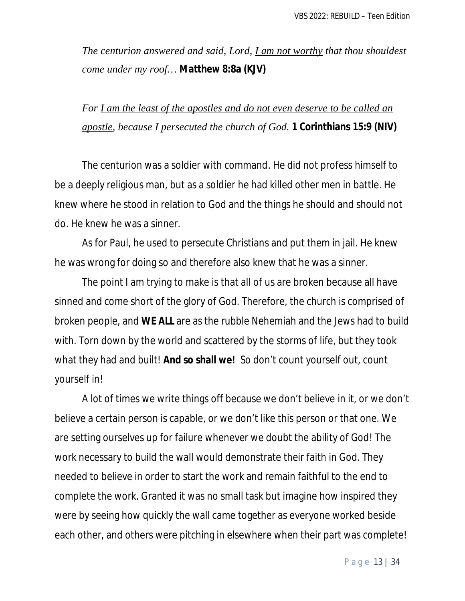*The centurion answered and said, Lord, I am not worthy that thou shouldest come under my roof…* **Matthew 8:8a (KJV)**

*For I am the least of the apostles and do not even deserve to be called an apostle, because I persecuted the church of God.* **1 Corinthians 15:9 (NIV)**

The centurion was a soldier with command. He did not profess himself to be a deeply religious man, but as a soldier he had killed other men in battle. He knew where he stood in relation to God and the things he should and should not do. He knew he was a sinner.

As for Paul, he used to persecute Christians and put them in jail. He knew he was wrong for doing so and therefore also knew that he was a sinner.

The point I am trying to make is that all of us are broken because all have sinned and come short of the glory of God. Therefore, the church is comprised of broken people, and **WE ALL** are as the rubble Nehemiah and the Jews had to build with. Torn down by the world and scattered by the storms of life, but they took what they had and built! **And so shall we!** So don't count yourself out, count yourself in!

A lot of times we write things off because we don't believe in it, or we don't believe a certain person is capable, or we don't like this person or that one. We are setting ourselves up for failure whenever we doubt the ability of God! The work necessary to build the wall would demonstrate their faith in God. They needed to believe in order to start the work and remain faithful to the end to complete the work. Granted it was no small task but imagine how inspired they were by seeing how quickly the wall came together as everyone worked beside each other, and others were pitching in elsewhere when their part was complete!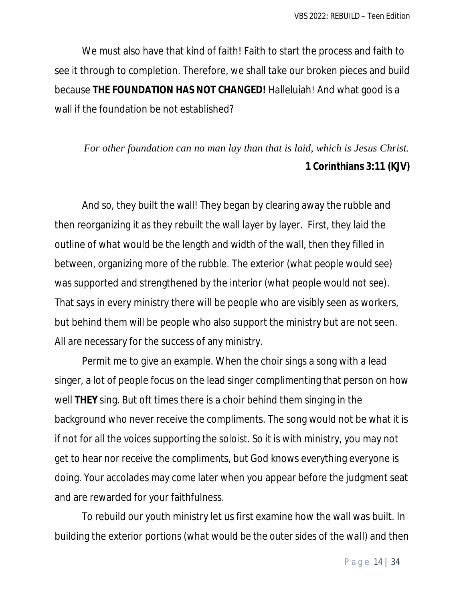We must also have that kind of faith! Faith to start the process and faith to see it through to completion. Therefore, we shall take our broken pieces and build because **THE FOUNDATION HAS NOT CHANGED!** Halleluiah! And what good is a wall if the foundation be not established?

## *For other foundation can no man lay than that is laid, which is Jesus Christ.*  **1 Corinthians 3:11 (KJV)**

And so, they built the wall! They began by clearing away the rubble and then reorganizing it as they rebuilt the wall layer by layer. First, they laid the outline of what would be the length and width of the wall, then they filled in between, organizing more of the rubble. The exterior *(what people would see)* was supported and strengthened by the interior *(what people would not see)*. That says in every ministry there will be people who are visibly seen as workers, but behind them will be people who also support the ministry but are not seen. All are necessary for the success of any ministry.

Permit me to give an example. When the choir sings a song with a lead singer, a lot of people focus on the lead singer complimenting that person on how well **THEY** sing. But oft times there is a choir behind them singing in the background who never receive the compliments. The song would not be what it is if not for all the voices supporting the soloist. So it is with ministry, you may not get to hear nor receive the compliments, but God knows everything everyone is doing. Your accolades may come later when you appear before the judgment seat and are rewarded for your faithfulness.

To rebuild our youth ministry let us first examine how the wall was built. In building the exterior portions *(what would be the outer sides of the wall)* and then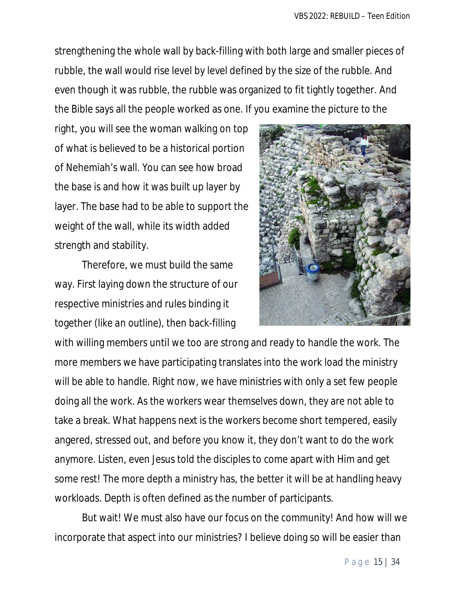strengthening the whole wall by back-filling with both large and smaller pieces of rubble, the wall would rise level by level defined by the size of the rubble. And even though it was rubble, the rubble was organized to fit tightly together. And the Bible says all the people worked as one. If you examine the picture to the

right, you will see the woman walking on top of what is believed to be a historical portion of Nehemiah's wall. You can see how broad the base is and how it was built up layer by layer. The base had to be able to support the weight of the wall, while its width added strength and stability.

Therefore, we must build the same way. First laying down the structure of our respective ministries and rules binding it together *(like an outline)*, then back-filling



with willing members until we too are strong and ready to handle the work. The more members we have participating translates into the work load the ministry will be able to handle. Right now, we have ministries with only a set few people doing all the work. As the workers wear themselves down, they are not able to take a break. What happens next is the workers become short tempered, easily angered, stressed out, and before you know it, they don't want to do the work anymore. Listen, even Jesus told the disciples to come apart with Him and get some rest! The more depth a ministry has, the better it will be at handling heavy workloads. Depth is often defined as the number of participants.

But wait! We must also have our focus on the community! And how will we incorporate that aspect into our ministries? I believe doing so will be easier than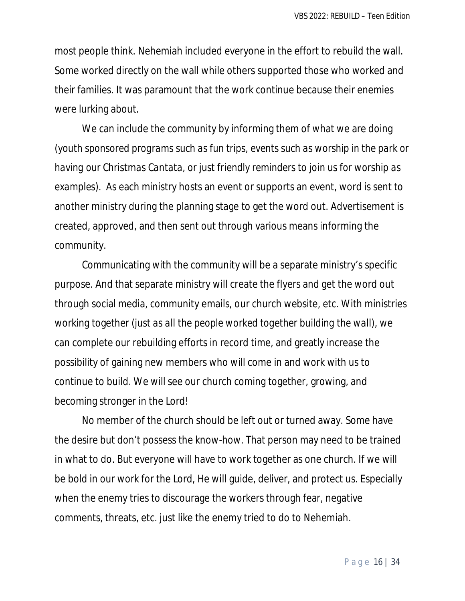most people think. Nehemiah included everyone in the effort to rebuild the wall. Some worked directly on the wall while others supported those who worked and their families. It was paramount that the work continue because their enemies were lurking about.

We can include the community by informing them of what we are doing *(youth sponsored programs such as fun trips, events such as worship in the park or having our Christmas Cantata, or just friendly reminders to join us for worship as examples)*. As each ministry hosts an event or supports an event, word is sent to another ministry during the planning stage to get the word out. Advertisement is created, approved, and then sent out through various means informing the community.

Communicating with the community will be a separate ministry's specific purpose. And that separate ministry will create the flyers and get the word out through social media, community emails, our church website, etc. With ministries working together *(just as all the people worked together building the wall)*, we can complete our rebuilding efforts in record time, and greatly increase the possibility of gaining new members who will come in and work with us to continue to build. We will see our church coming together, growing, and becoming stronger in the Lord!

No member of the church should be left out or turned away. Some have the desire but don't possess the know-how. That person may need to be trained in what to do. But everyone will have to work together as one church. If we will be bold in our work for the Lord, He will guide, deliver, and protect us. Especially when the enemy tries to discourage the workers through fear, negative comments, threats, etc. just like the enemy tried to do to Nehemiah.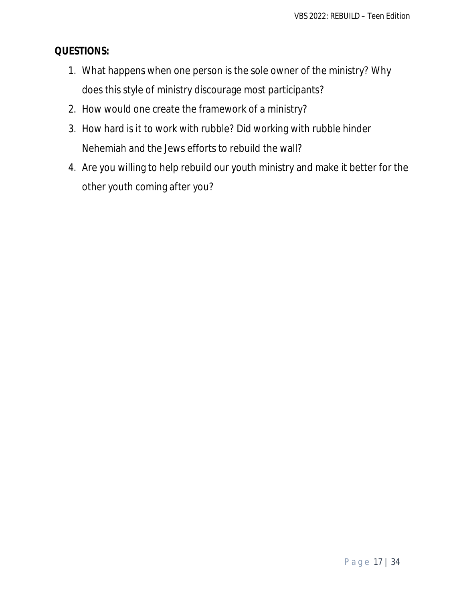## **QUESTIONS:**

- 1. What happens when one person is the sole owner of the ministry? Why does this style of ministry discourage most participants?
- 2. How would one create the framework of a ministry?
- 3. How hard is it to work with rubble? Did working with rubble hinder Nehemiah and the Jews efforts to rebuild the wall?
- 4. Are you willing to help rebuild our youth ministry and make it better for the other youth coming after you?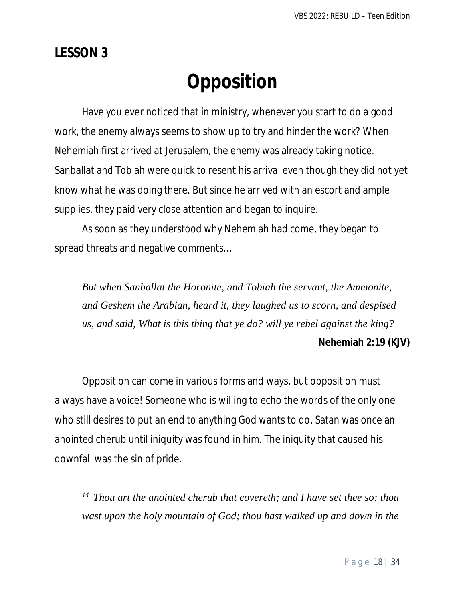## **LESSON 3**

# **Opposition**

Have you ever noticed that in ministry, whenever you start to do a good work, the enemy always seems to show up to try and hinder the work? When Nehemiah first arrived at Jerusalem, the enemy was already taking notice. Sanballat and Tobiah were quick to resent his arrival even though they did not yet know what he was doing there. But since he arrived with an escort and ample supplies, they paid very close attention and began to inquire.

As soon as they understood why Nehemiah had come, they began to spread threats and negative comments…

*But when Sanballat the Horonite, and Tobiah the servant, the Ammonite, and Geshem the Arabian, heard it, they laughed us to scorn, and despised us, and said, What is this thing that ye do? will ye rebel against the king?*

### **Nehemiah 2:19 (KJV)**

Opposition can come in various forms and ways, but opposition must always have a voice! Someone who is willing to echo the words of the only one who still desires to put an end to anything God wants to do. Satan was once an anointed cherub until iniquity was found in him. The iniquity that caused his downfall was the sin of pride.

*<sup>14</sup>Thou art the anointed cherub that covereth; and I have set thee so: thou wast upon the holy mountain of God; thou hast walked up and down in the*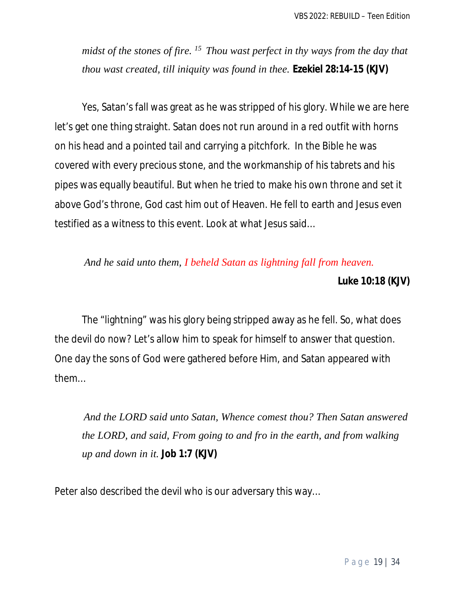*midst of the stones of fire. <sup>15</sup>Thou wast perfect in thy ways from the day that thou wast created, till iniquity was found in thee.* **Ezekiel 28:14-15 (KJV)**

Yes, Satan's fall was great as he was stripped of his glory. While we are here let's get one thing straight. Satan does not run around in a red outfit with horns on his head and a pointed tail and carrying a pitchfork. In the Bible he was covered with every precious stone, and the workmanship of his tabrets and his pipes was equally beautiful. But when he tried to make his own throne and set it above God's throne, God cast him out of Heaven. He fell to earth and Jesus even testified as a witness to this event. Look at what Jesus said…

## *And he said unto them, I beheld Satan as lightning fall from heaven.*

**Luke 10:18 (KJV)**

The "lightning" was his glory being stripped away as he fell. So, what does the devil do now? Let's allow him to speak for himself to answer that question. One day the sons of God were gathered before Him, and Satan appeared with them…

*And the LORD said unto Satan, Whence comest thou? Then Satan answered the LORD, and said, From going to and fro in the earth, and from walking up and down in it.* **Job 1:7 (KJV)**

Peter also described the devil who is our adversary this way…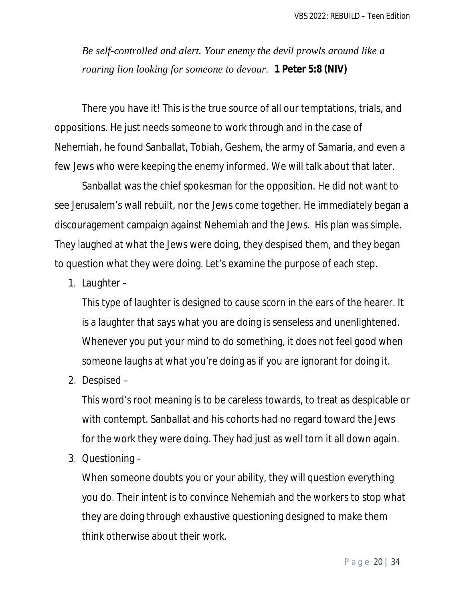*Be self-controlled and alert. Your enemy the devil prowls around like a roaring lion looking for someone to devour.* **1 Peter 5:8 (NIV)**

There you have it! This is the true source of all our temptations, trials, and oppositions. He just needs someone to work through and in the case of Nehemiah, he found Sanballat, Tobiah, Geshem, the army of Samaria, and even a few Jews who were keeping the enemy informed. We will talk about that later.

Sanballat was the chief spokesman for the opposition. He did not want to see Jerusalem's wall rebuilt, nor the Jews come together. He immediately began a discouragement campaign against Nehemiah and the Jews. His plan was simple. They laughed at what the Jews were doing, they despised them, and they began to question what they were doing. Let's examine the purpose of each step.

1. Laughter –

This type of laughter is designed to cause scorn in the ears of the hearer. It is a laughter that says what you are doing is senseless and unenlightened. Whenever you put your mind to do something, it does not feel good when someone laughs at what you're doing as if you are ignorant for doing it.

2. Despised –

This word's root meaning is to be careless towards, to treat as despicable or with contempt. Sanballat and his cohorts had no regard toward the Jews for the work they were doing. They had just as well torn it all down again.

3. Questioning –

When someone doubts you or your ability, they will question everything you do. Their intent is to convince Nehemiah and the workers to stop what they are doing through exhaustive questioning designed to make them think otherwise about their work.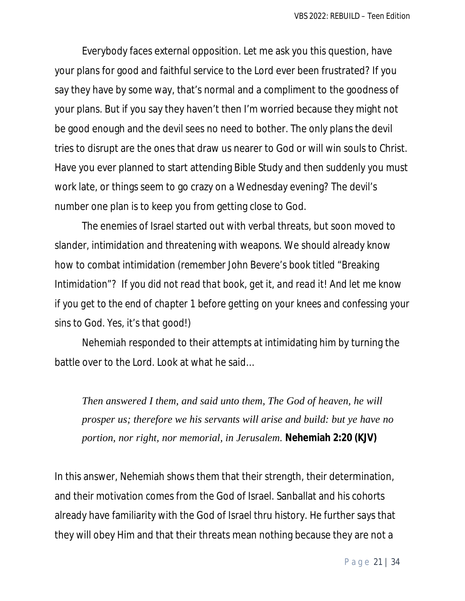Everybody faces external opposition. Let me ask you this question, have your plans for good and faithful service to the Lord ever been frustrated? If you say they have by some way, that's normal and a compliment to the goodness of your plans. But if you say they haven't then I'm worried because they might not be good enough and the devil sees no need to bother. The only plans the devil tries to disrupt are the ones that draw us nearer to God or will win souls to Christ. Have you ever planned to start attending Bible Study and then suddenly you must work late, or things seem to go crazy on a Wednesday evening? The devil's number one plan is to keep you from getting close to God.

The enemies of Israel started out with verbal threats, but soon moved to slander, intimidation and threatening with weapons. We should already know how to combat intimidation *(remember John Bevere's book titled "Breaking Intimidation"? If you did not read that book, get it, and read it! And let me know if you get to the end of chapter 1 before getting on your knees and confessing your sins to God. Yes, it's that good!)* 

Nehemiah responded to their attempts at intimidating him by turning the battle over to the Lord. Look at what he said…

*Then answered I them, and said unto them, The God of heaven, he will prosper us; therefore we his servants will arise and build: but ye have no portion, nor right, nor memorial, in Jerusalem.* **Nehemiah 2:20 (KJV)**

In this answer, Nehemiah shows them that their strength, their determination, and their motivation comes from the God of Israel. Sanballat and his cohorts already have familiarity with the God of Israel thru history. He further says that they will obey Him and that their threats mean nothing because they are not a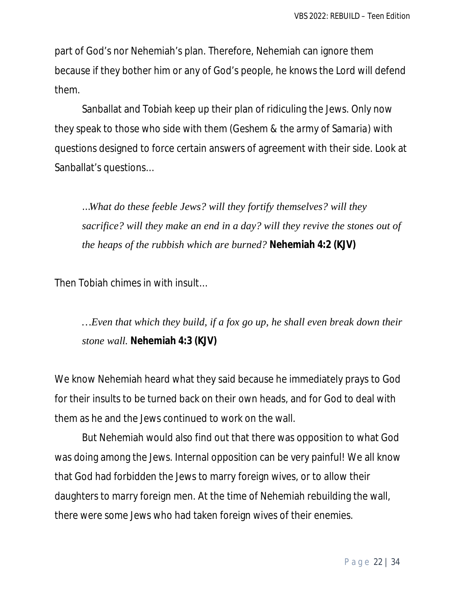part of God's nor Nehemiah's plan. Therefore, Nehemiah can ignore them because if they bother him or any of God's people, he knows the Lord will defend them.

Sanballat and Tobiah keep up their plan of ridiculing the Jews. Only now they speak to those who side with them *(Geshem & the army of Samaria)* with questions designed to force certain answers of agreement with their side. Look at Sanballat's questions…

…*What do these feeble Jews? will they fortify themselves? will they sacrifice? will they make an end in a day? will they revive the stones out of the heaps of the rubbish which are burned?* **Nehemiah 4:2 (KJV)** 

Then Tobiah chimes in with insult…

*…Even that which they build, if a fox go up, he shall even break down their stone wall.* **Nehemiah 4:3 (KJV)**

We know Nehemiah heard what they said because he immediately prays to God for their insults to be turned back on their own heads, and for God to deal with them as he and the Jews continued to work on the wall.

But Nehemiah would also find out that there was opposition to what God was doing among the Jews. Internal opposition can be very painful! We all know that God had forbidden the Jews to marry foreign wives, or to allow their daughters to marry foreign men. At the time of Nehemiah rebuilding the wall, there were some Jews who had taken foreign wives of their enemies.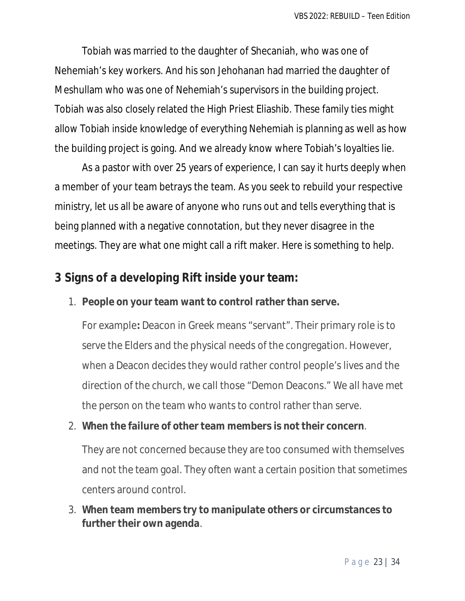Tobiah was married to the daughter of Shecaniah, who was one of Nehemiah's key workers. And his son Jehohanan had married the daughter of Meshullam who was one of Nehemiah's supervisors in the building project. Tobiah was also closely related the High Priest Eliashib. These family ties might allow Tobiah inside knowledge of everything Nehemiah is planning as well as how the building project is going. And we already know where Tobiah's loyalties lie.

As a pastor with over 25 years of experience, I can say it hurts deeply when a member of your team betrays the team. As you seek to rebuild your respective ministry, let us all be aware of anyone who runs out and tells everything that is being planned with a negative connotation, but they never disagree in the meetings. They are what one might call a rift maker. *Here is something to help.*

## **3 Signs of a developing Rift inside your team:**

### 1. **People on your team want to control rather than serve.**

For example**:** Deacon in Greek means "servant". Their primary role is to serve the Elders and the physical needs of the congregation. However, when a Deacon decides they would rather control people's lives and the direction of the church, we call those "Demon Deacons." We all have met the person on the team who wants to control rather than serve.

### 2. **When the failure of other team members is not their concern**.

They are not concerned because they are too consumed with themselves and not the team goal. They often want a certain position that sometimes centers around control.

### 3. **When team members try to manipulate others or circumstances to further their own agenda**.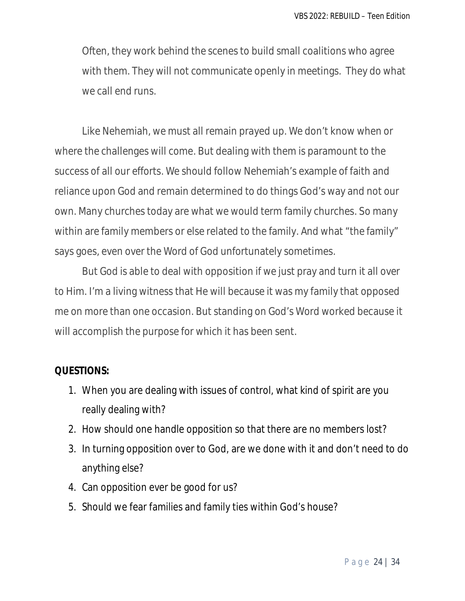Often, they work behind the scenes to build small coalitions who agree with them. They will not communicate openly in meetings. They do what we call end runs.

Like Nehemiah, we must all remain prayed up. We don't know when or where the challenges will come. But dealing with them is paramount to the success of all our efforts. We should follow Nehemiah's example of faith and reliance upon God and remain determined to do things God's way and not our own. Many churches today are what we would term family churches. So many within are family members or else related to the family. And what "the family" says goes, even over the Word of God unfortunately sometimes.

But God is able to deal with opposition if we just pray and turn it all over to Him. I'm a living witness that He will because it was my family that opposed me on more than one occasion. But standing on God's Word worked because it will accomplish the purpose for which it has been sent.

#### **QUESTIONS:**

- 1. When you are dealing with issues of control, what kind of spirit are you really dealing with?
- 2. How should one handle opposition so that there are no members lost?
- 3. In turning opposition over to God, are we done with it and don't need to do anything else?
- 4. Can opposition ever be good for us?
- 5. Should we fear families and family ties within God's house?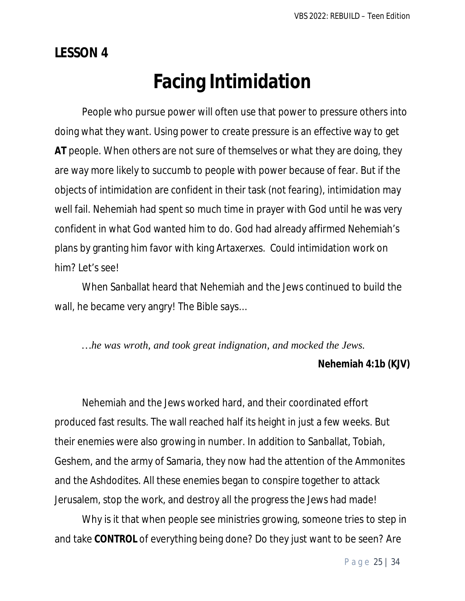**LESSON 4**

## **Facing Intimidation**

People who pursue power will often use that power to pressure others into doing what they want. Using power to create pressure is an effective way to get **AT** people. When others are not sure of themselves or what they are doing, they are way more likely to succumb to people with power because of fear. But if the objects of intimidation are confident in their task *(not fearing)*, intimidation may well fail. Nehemiah had spent so much time in prayer with God until he was very confident in what God wanted him to do. God had already affirmed Nehemiah's plans by granting him favor with king Artaxerxes. Could intimidation work on him? Let's see!

When Sanballat heard that Nehemiah and the Jews continued to build the wall, he became very angry! The Bible says…

*…he was wroth, and took great indignation, and mocked the Jews.*

### **Nehemiah 4:1b (KJV)**

Nehemiah and the Jews worked hard, and their coordinated effort produced fast results. The wall reached half its height in just a few weeks. But their enemies were also growing in number. In addition to Sanballat, Tobiah, Geshem, and the army of Samaria, they now had the attention of the Ammonites and the Ashdodites. All these enemies began to conspire together to attack Jerusalem, stop the work, and destroy all the progress the Jews had made!

Why is it that when people see ministries growing, someone tries to step in and take **CONTROL** of everything being done? Do they just want to be seen? Are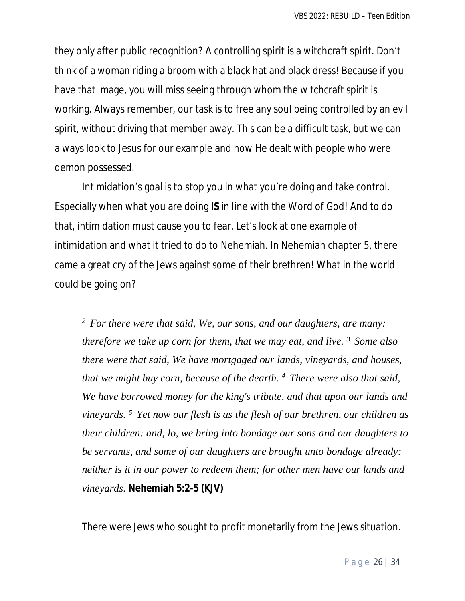they only after public recognition? A controlling spirit is a witchcraft spirit. Don't think of a woman riding a broom with a black hat and black dress! Because if you have that image, you will miss seeing through whom the witchcraft spirit is working. Always remember, our task is to free any soul being controlled by an evil spirit, without driving that member away. This can be a difficult task, but we can always look to Jesus for our example and how He dealt with people who were demon possessed.

Intimidation's goal is to stop you in what you're doing and take control. Especially when what you are doing **IS** in line with the Word of God! And to do that, intimidation must cause you to fear. Let's look at one example of intimidation and what it tried to do to Nehemiah. In Nehemiah chapter 5, there came a great cry of the Jews against some of their brethren! What in the world could be going on?

*<sup>2</sup>For there were that said, We, our sons, and our daughters, are many: therefore we take up corn for them, that we may eat, and live. <sup>3</sup>Some also there were that said, We have mortgaged our lands, vineyards, and houses, that we might buy corn, because of the dearth. <sup>4</sup>There were also that said, We have borrowed money for the king's tribute, and that upon our lands and vineyards. <sup>5</sup>Yet now our flesh is as the flesh of our brethren, our children as their children: and, lo, we bring into bondage our sons and our daughters to be servants, and some of our daughters are brought unto bondage already: neither is it in our power to redeem them; for other men have our lands and vineyards.* **Nehemiah 5:2-5 (KJV)**

There were Jews who sought to profit monetarily from the Jews situation.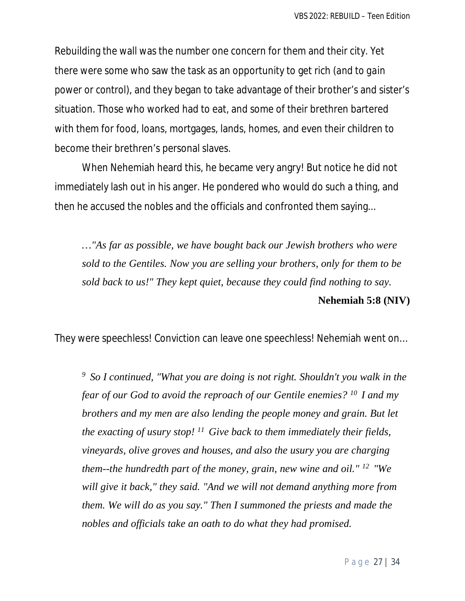Rebuilding the wall was the number one concern for them and their city. Yet there were some who saw the task as an opportunity to get rich *(and to gain power or control)*, and they began to take advantage of their brother's and sister's situation. Those who worked had to eat, and some of their brethren bartered with them for food, loans, mortgages, lands, homes, and even their children to become their brethren's personal slaves.

When Nehemiah heard this, he became very angry! But notice he did not immediately lash out in his anger. He pondered who would do such a thing, and then he accused the nobles and the officials and confronted them saying...

*…"As far as possible, we have bought back our Jewish brothers who were sold to the Gentiles. Now you are selling your brothers, only for them to be sold back to us!" They kept quiet, because they could find nothing to say.*  **Nehemiah 5:8 (NIV)** 

They were speechless! Conviction can leave one speechless! Nehemiah went on…

*<sup>9</sup>So I continued, "What you are doing is not right. Shouldn't you walk in the fear of our God to avoid the reproach of our Gentile enemies? <sup>10</sup>I and my brothers and my men are also lending the people money and grain. But let the exacting of usury stop! <sup>11</sup>Give back to them immediately their fields, vineyards, olive groves and houses, and also the usury you are charging them--the hundredth part of the money, grain, new wine and oil." <sup>12</sup>"We will give it back," they said. "And we will not demand anything more from them. We will do as you say." Then I summoned the priests and made the nobles and officials take an oath to do what they had promised.*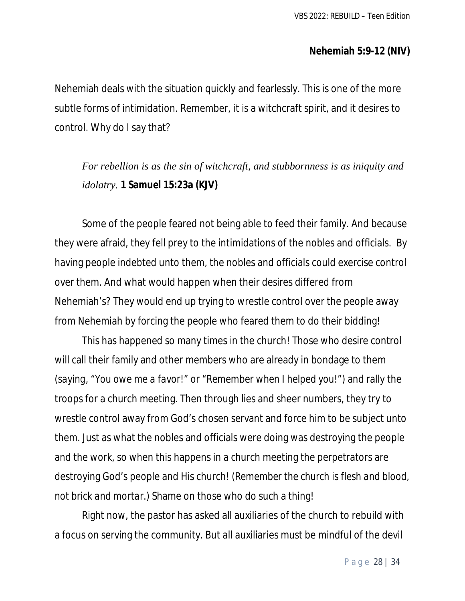#### **Nehemiah 5:9-12 (NIV)**

Nehemiah deals with the situation quickly and fearlessly. This is one of the more subtle forms of intimidation. Remember, it is a witchcraft spirit, and it desires to control. Why do I say that?

*For rebellion is as the sin of witchcraft, and stubbornness is as iniquity and idolatry.* **1 Samuel 15:23a (KJV)**

Some of the people feared not being able to feed their family. And because they were afraid, they fell prey to the intimidations of the nobles and officials. By having people indebted unto them, the nobles and officials could exercise control over them. And what would happen when their desires differed from Nehemiah's? They would end up trying to wrestle control over the people away from Nehemiah by forcing the people who feared them to do their bidding!

This has happened so many times in the church! Those who desire control will call their family and other members who are already in bondage to them *(saying, "You owe me a favor!" or "Remember when I helped you!")* and rally the troops for a church meeting. Then through lies and sheer numbers, they try to wrestle control away from God's chosen servant and force him to be subject unto them. Just as what the nobles and officials were doing was destroying the people and the work, so when this happens in a church meeting the perpetrators are destroying God's people and His church! *(Remember the church is flesh and blood, not brick and mortar.)* Shame on those who do such a thing!

Right now, the pastor has asked all auxiliaries of the church to rebuild with a focus on serving the community. But all auxiliaries must be mindful of the devil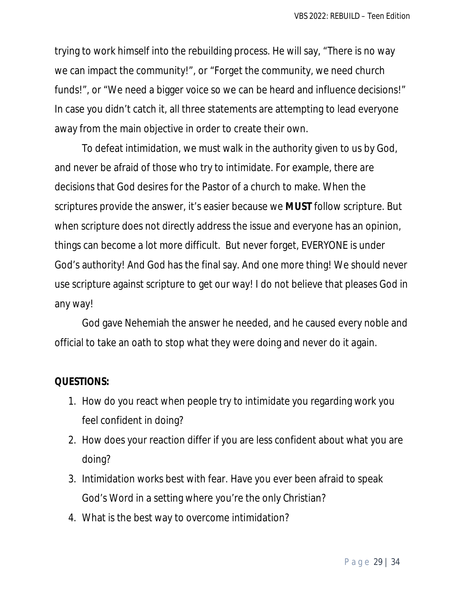trying to work himself into the rebuilding process. He will say, "There is no way we can impact the community!", or "Forget the community, we need church funds!", or "We need a bigger voice so we can be heard and influence decisions!" In case you didn't catch it, all three statements are attempting to lead everyone away from the main objective in order to create their own.

To defeat intimidation, we must walk in the authority given to us by God, and never be afraid of those who try to intimidate. For example, there are decisions that God desires for the Pastor of a church to make. When the scriptures provide the answer, it's easier because we **MUST** follow scripture. But when scripture does not directly address the issue and everyone has an opinion, things can become a lot more difficult. But never forget, EVERYONE is under God's authority! And God has the final say. And one more thing! We should never use scripture against scripture to get our way! I do not believe that pleases God in any way!

God gave Nehemiah the answer he needed, and he caused every noble and official to take an oath to stop what they were doing and never do it again.

### **QUESTIONS:**

- 1. How do you react when people try to intimidate you regarding work you feel confident in doing?
- 2. How does your reaction differ if you are less confident about what you are doing?
- 3. Intimidation works best with fear. Have you ever been afraid to speak God's Word in a setting where you're the only Christian?
- 4. What is the best way to overcome intimidation?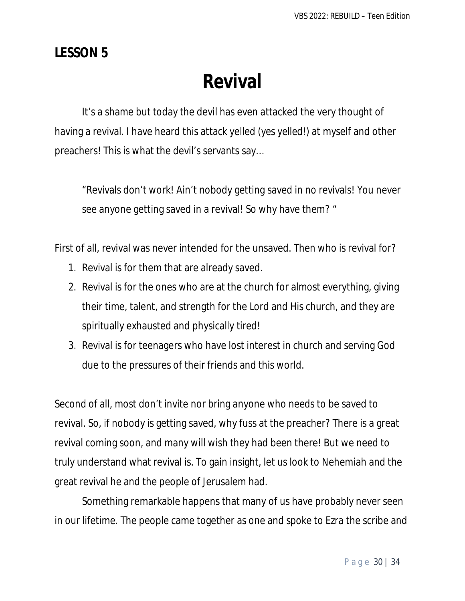## **LESSON 5**

# **Revival**

It's a shame but today the devil has even attacked the very thought of having a revival. I have heard this attack yelled *(yes yelled!)* at myself and other preachers! This is what the devil's servants say…

"Revivals don't work! Ain't nobody getting saved in no revivals! You never see anyone getting saved in a revival! So why have them? "

First of all, revival was never intended for the unsaved. Then who is revival for?

- 1. Revival is for them that are already saved.
- 2. Revival is for the ones who are at the church for almost everything, giving their time, talent, and strength for the Lord and His church, and they are spiritually exhausted and physically tired!
- 3. Revival is for teenagers who have lost interest in church and serving God due to the pressures of their friends and this world.

Second of all, most don't invite nor bring anyone who needs to be saved to revival. So, if nobody is getting saved, why fuss at the preacher? There is a great revival coming soon, and many will wish they had been there! But we need to truly understand what revival is. To gain insight, let us look to Nehemiah and the great revival he and the people of Jerusalem had.

Something remarkable happens that many of us have probably never seen in our lifetime. The people came together as one and spoke to Ezra the scribe and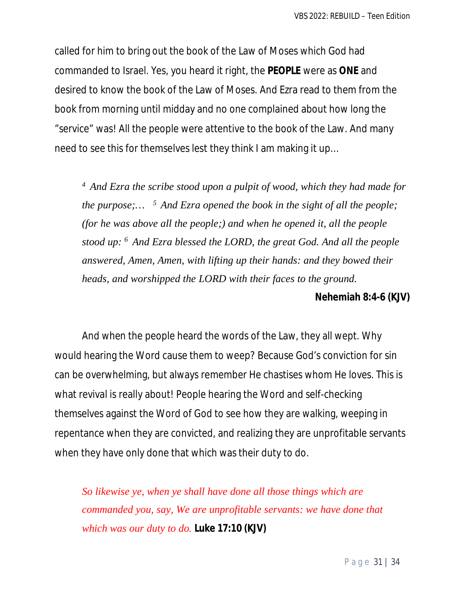called for him to bring out the book of the Law of Moses which God had commanded to Israel. Yes, you heard it right, the **PEOPLE** were as **ONE** and desired to know the book of the Law of Moses. And Ezra read to them from the book from morning until midday and no one complained about how long the "service" was! All the people were attentive to the book of the Law. And many need to see this for themselves lest they think I am making it up…

*<sup>4</sup>And Ezra the scribe stood upon a pulpit of wood, which they had made for the purpose;… <sup>5</sup>And Ezra opened the book in the sight of all the people; (for he was above all the people;) and when he opened it, all the people stood up: <sup>6</sup>And Ezra blessed the LORD, the great God. And all the people answered, Amen, Amen, with lifting up their hands: and they bowed their heads, and worshipped the LORD with their faces to the ground.*

#### **Nehemiah 8:4-6 (KJV)**

And when the people heard the words of the Law, they all wept. Why would hearing the Word cause them to weep? Because God's conviction for sin can be overwhelming, but always remember He chastises whom He loves. This is what revival is really about! People hearing the Word and self-checking themselves against the Word of God to see how they are walking, weeping in repentance when they are convicted, and realizing they are unprofitable servants when they have only done that which was their duty to do.

*So likewise ye, when ye shall have done all those things which are commanded you, say, We are unprofitable servants: we have done that which was our duty to do.* **Luke 17:10 (KJV)**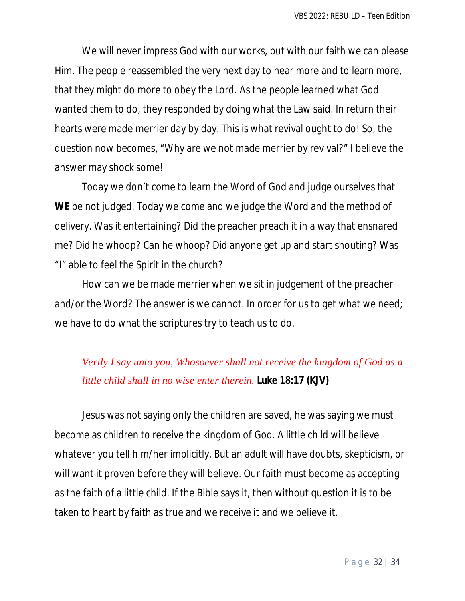We will never impress God with our works, but with our faith we can please Him. The people reassembled the very next day to hear more and to learn more, that they might do more to obey the Lord. As the people learned what God wanted them to do, they responded by doing what the Law said. In return their hearts were made merrier day by day. This is what revival ought to do! So, the question now becomes, "Why are we not made merrier by revival?" I believe the answer may shock some!

Today we don't come to learn the Word of God and judge ourselves that **WE** be not judged. Today we come and we judge the Word and the method of delivery. Was it entertaining? Did the preacher preach it in a way that ensnared me? Did he whoop? Can he whoop? Did anyone get up and start shouting? Was "I" able to feel the Spirit in the church?

How can we be made merrier when we sit in judgement of the preacher and/or the Word? The answer is we cannot. In order for us to get what we need; we have to do what the scriptures try to teach us to do.

## *Verily I say unto you, Whosoever shall not receive the kingdom of God as a little child shall in no wise enter therein.* **Luke 18:17 (KJV)**

Jesus was not saying only the children are saved, he was saying we must become as children to receive the kingdom of God. A little child will believe whatever you tell him/her implicitly. But an adult will have doubts, skepticism, or will want it proven before they will believe. Our faith must become as accepting as the faith of a little child. If the Bible says it, then without question it is to be taken to heart by faith as true and we receive it and we believe it.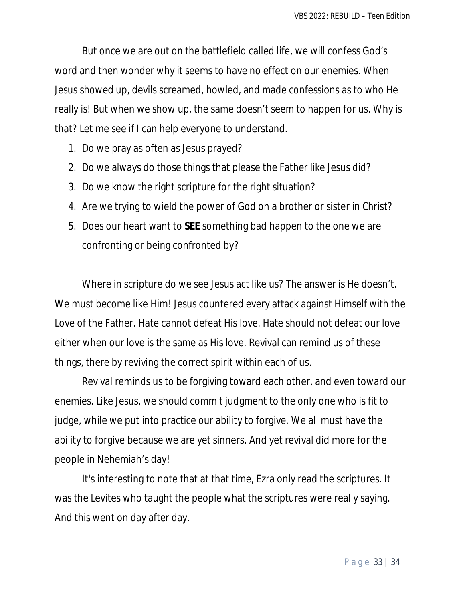But once we are out on the battlefield called life, we will confess God's word and then wonder why it seems to have no effect on our enemies. When Jesus showed up, devils screamed, howled, and made confessions as to who He really is! But when we show up, the same doesn't seem to happen for us. Why is that? Let me see if I can help everyone to understand.

- 1. Do we pray as often as Jesus prayed?
- 2. Do we always do those things that please the Father like Jesus did?
- 3. Do we know the right scripture for the right situation?
- 4. Are we trying to wield the power of God on a brother or sister in Christ?
- 5. Does our heart want to **SEE** something bad happen to the one we are confronting or being confronted by?

Where in scripture do we see Jesus act like us? The answer is He doesn't. We must become like Him! Jesus countered every attack against Himself with the Love of the Father. Hate cannot defeat His love. Hate should not defeat our love either when our love is the same as His love. Revival can remind us of these things, there by reviving the correct spirit within each of us.

Revival reminds us to be forgiving toward each other, and even toward our enemies. Like Jesus, we should commit judgment to the only one who is fit to judge, while we put into practice our ability to forgive. We all must have the ability to forgive because we are yet sinners. And yet revival did more for the people in Nehemiah's day!

It's interesting to note that at that time, Ezra only read the scriptures. It was the Levites who taught the people what the scriptures were really saying. And this went on day after day.